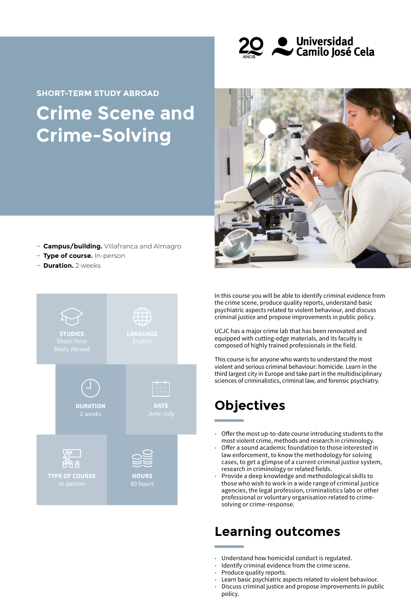

# **Crime Scene and Crime-Solving SHORT-TERM STUDY ABROAD**



- **− Campus/building.** Villafranca and Almagro
- **− Type of course.** In-person
- **− Duration.** 2 weeks



In this course you will be able to identify criminal evidence from the crime scene, produce quality reports, understand basic psychiatric aspects related to violent behaviour, and discuss criminal justice and propose improvements in public policy.

UCJC has a major crime lab that has been renovated and equipped with cutting-edge materials, and its faculty is composed of highly trained professionals in the field.

This course is for anyone who wants to understand the most violent and serious criminal behaviour: homicide. Learn in the third largest city in Europe and take part in the multidisciplinary sciences of criminalistics, criminal law, and forensic psychiatry.

# **Objectives**

- Offer the most up-to-date course introducing students to the most violent crime, methods and research in criminology.
- Offer a sound academic foundation to those interested in law enforcement, to know the methodology for solving cases, to get a glimpse of a current criminal justice system, research in criminology or related fields.
- Provide a deep knowledge and methodological skills to those who wish to work in a wide range of criminal justice agencies, the legal profession, criminalistics labs or other professional or voluntary organisation related to crimesolving or crime-response.

### **Learning outcomes**

- Understand how homicidal conduct is regulated.
- Identify criminal evidence from the crime scene.
- Produce quality reports.
- Learn basic psychiatric aspects related to violent behaviour.
- Discuss criminal justice and propose improvements in public policy.